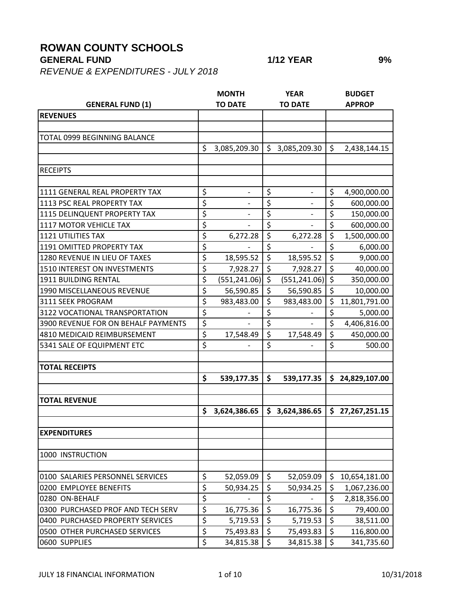## **ROWAN COUNTY SCHOOLS**

## **GENERAL FUND 1/12 YEAR 9%**

*REVENUE & EXPENDITURES - JULY 2018*

|                                      |                                 | <b>MONTH</b>             |                  | <b>YEAR</b>    |                          | <b>BUDGET</b>   |
|--------------------------------------|---------------------------------|--------------------------|------------------|----------------|--------------------------|-----------------|
| <b>GENERAL FUND (1)</b>              |                                 | <b>TO DATE</b>           |                  | <b>TO DATE</b> |                          | <b>APPROP</b>   |
| <b>REVENUES</b>                      |                                 |                          |                  |                |                          |                 |
|                                      |                                 |                          |                  |                |                          |                 |
| TOTAL 0999 BEGINNING BALANCE         |                                 |                          |                  |                |                          |                 |
|                                      | \$                              | 3,085,209.30             | \$               | 3,085,209.30   | $\zeta$                  | 2,438,144.15    |
|                                      |                                 |                          |                  |                |                          |                 |
| <b>RECEIPTS</b>                      |                                 |                          |                  |                |                          |                 |
|                                      |                                 |                          |                  |                |                          |                 |
| 1111 GENERAL REAL PROPERTY TAX       | \$                              | $\overline{\phantom{a}}$ | \$               | $\overline{a}$ | \$                       | 4,900,000.00    |
| 1113 PSC REAL PROPERTY TAX           | \$                              |                          | \$               |                | \$                       | 600,000.00      |
| 1115 DELINQUENT PROPERTY TAX         | \$                              |                          | \$               |                | \$                       | 150,000.00      |
| 1117 MOTOR VEHICLE TAX               | \$                              |                          | \$               |                | \$                       | 600,000.00      |
| <b>1121 UTILITIES TAX</b>            | \$                              | 6,272.28                 | \$               | 6,272.28       | \$                       | 1,500,000.00    |
| <b>1191 OMITTED PROPERTY TAX</b>     | \$                              |                          | \$               |                | \$                       | 6,000.00        |
| <b>1280 REVENUE IN LIEU OF TAXES</b> | \$                              | 18,595.52                | \$               | 18,595.52      | \$                       | 9,000.00        |
| 1510 INTEREST ON INVESTMENTS         | $\overline{\xi}$                | 7,928.27                 | \$               | 7,928.27       | $\overline{\xi}$         | 40,000.00       |
| <b>1911 BUILDING RENTAL</b>          | \$                              | (551, 241.06)            | $\zeta$          | (551, 241.06)  | $\zeta$                  | 350,000.00      |
| 1990 MISCELLANEOUS REVENUE           | \$                              | 56,590.85                | \$               | 56,590.85      | $\zeta$                  | 10,000.00       |
| 3111 SEEK PROGRAM                    | \$                              | 983,483.00               | \$               | 983,483.00     | $\zeta$                  | 11,801,791.00   |
| 3122 VOCATIONAL TRANSPORTATION       | \$                              |                          | \$               |                | \$                       | 5,000.00        |
| 3900 REVENUE FOR ON BEHALF PAYMENTS  | $\overline{\boldsymbol{\zeta}}$ |                          | \$               |                | \$                       | 4,406,816.00    |
| 4810 MEDICAID REIMBURSEMENT          | $\overline{\xi}$                | 17,548.49                | \$               | 17,548.49      | \$                       | 450,000.00      |
| 5341 SALE OF EQUIPMENT ETC           | \$                              |                          | \$               |                | \$                       | 500.00          |
|                                      |                                 |                          |                  |                |                          |                 |
| <b>TOTAL RECEIPTS</b>                |                                 |                          |                  |                |                          |                 |
|                                      | \$                              | 539,177.35               | \$               | 539,177.35     | \$                       | 24,829,107.00   |
|                                      |                                 |                          |                  |                |                          |                 |
| <b>TOTAL REVENUE</b>                 |                                 |                          |                  |                |                          |                 |
|                                      | \$                              | 3,624,386.65             | \$               | 3,624,386.65   |                          | \$27,267,251.15 |
|                                      |                                 |                          |                  |                |                          |                 |
| <b>EXPENDITURES</b>                  |                                 |                          |                  |                |                          |                 |
|                                      |                                 |                          |                  |                |                          |                 |
| 1000 INSTRUCTION                     |                                 |                          |                  |                |                          |                 |
|                                      |                                 |                          |                  |                |                          |                 |
| 0100 SALARIES PERSONNEL SERVICES     | \$                              | 52,059.09                | \$               | 52,059.09      | \$                       | 10,654,181.00   |
| 0200 EMPLOYEE BENEFITS               | $\overline{\boldsymbol{\zeta}}$ | 50,934.25                | \$               | 50,934.25      | \$                       | 1,067,236.00    |
| 0280 ON-BEHALF                       | $\overline{\boldsymbol{\zeta}}$ |                          | \$               |                | \$                       | 2,818,356.00    |
| 0300 PURCHASED PROF AND TECH SERV    | $\overline{\xi}$                | 16,775.36                | $\overline{\xi}$ | 16,775.36      | $\overline{\mathcal{S}}$ | 79,400.00       |
| 0400 PURCHASED PROPERTY SERVICES     | \$                              | 5,719.53                 | \$               | 5,719.53       | \$                       | 38,511.00       |
| 0500 OTHER PURCHASED SERVICES        | \$                              | 75,493.83                | \$               | 75,493.83      | \$                       | 116,800.00      |
| 0600 SUPPLIES                        | $\overline{\xi}$                | 34,815.38                | \$               | 34,815.38      | $\zeta$                  | 341,735.60      |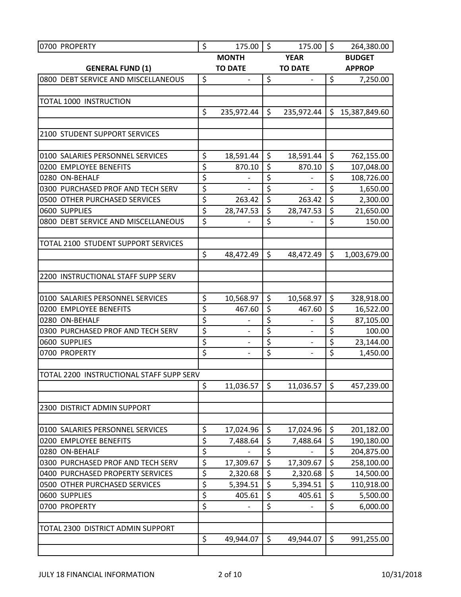| 0700 PROPERTY                                  | \$               | 175.00                   | \$       | 175.00             | $\zeta$                | 264,380.00           |
|------------------------------------------------|------------------|--------------------------|----------|--------------------|------------------------|----------------------|
|                                                |                  | <b>MONTH</b>             |          | <b>YEAR</b>        |                        | <b>BUDGET</b>        |
| <b>GENERAL FUND (1)</b>                        |                  | <b>TO DATE</b>           |          | <b>TO DATE</b>     |                        | <b>APPROP</b>        |
| 0800 DEBT SERVICE AND MISCELLANEOUS            | \$               | $\overline{\phantom{0}}$ | \$       |                    | \$                     | 7,250.00             |
|                                                |                  |                          |          |                    |                        |                      |
| TOTAL 1000 INSTRUCTION                         |                  |                          |          |                    |                        |                      |
|                                                | \$               | 235,972.44               | \$       | 235,972.44         |                        | \$15,387,849.60      |
|                                                |                  |                          |          |                    |                        |                      |
| 2100 STUDENT SUPPORT SERVICES                  |                  |                          |          |                    |                        |                      |
|                                                |                  |                          |          |                    |                        |                      |
| 0100 SALARIES PERSONNEL SERVICES               | \$<br>\$         | 18,591.44                | \$<br>\$ | 18,591.44          | \$<br>\$               | 762,155.00           |
| 0200 EMPLOYEE BENEFITS<br>0280 ON-BEHALF       | \$               | 870.10                   | \$       | 870.10             | \$                     | 107,048.00           |
| 0300 PURCHASED PROF AND TECH SERV              | \$               | $\overline{\phantom{0}}$ | \$       | $\qquad \qquad -$  | \$                     | 108,726.00           |
| 0500 OTHER PURCHASED SERVICES                  | \$               | 263.42                   | \$       | 263.42             | $\overline{\xi}$       | 1,650.00<br>2,300.00 |
| 0600 SUPPLIES                                  | \$               | 28,747.53                | \$       | 28,747.53          | \$                     | 21,650.00            |
| 0800 DEBT SERVICE AND MISCELLANEOUS            | $\overline{\xi}$ |                          | \$       |                    | \$                     | 150.00               |
|                                                |                  |                          |          |                    |                        |                      |
| TOTAL 2100 STUDENT SUPPORT SERVICES            |                  |                          |          |                    |                        |                      |
|                                                | \$               | 48,472.49                | \$       | 48,472.49          | \$                     | 1,003,679.00         |
|                                                |                  |                          |          |                    |                        |                      |
| 2200 INSTRUCTIONAL STAFF SUPP SERV             |                  |                          |          |                    |                        |                      |
|                                                |                  |                          |          |                    |                        |                      |
| 0100 SALARIES PERSONNEL SERVICES               | \$               | 10,568.97                | \$       | 10,568.97          | $\zeta$                | 328,918.00           |
| 0200 EMPLOYEE BENEFITS                         | \$               | 467.60                   | \$       | 467.60             | \$                     | 16,522.00            |
| 0280 ON-BEHALF                                 | \$               |                          | \$       |                    | \$                     | 87,105.00            |
| 0300 PURCHASED PROF AND TECH SERV              | \$               | $\qquad \qquad -$        | \$       | $\overline{a}$     | \$                     | 100.00               |
| 0600 SUPPLIES                                  | \$               |                          | \$       |                    | \$                     | 23,144.00            |
| 0700 PROPERTY                                  | \$               |                          | \$       |                    | \$                     | 1,450.00             |
|                                                |                  |                          |          |                    |                        |                      |
| TOTAL 2200 INSTRUCTIONAL STAFF SUPP SERV       |                  |                          |          |                    |                        |                      |
|                                                | \$               | 11,036.57                | \$       | 11,036.57          | \$                     | 457,239.00           |
|                                                |                  |                          |          |                    |                        |                      |
| 2300 DISTRICT ADMIN SUPPORT                    |                  |                          |          |                    |                        |                      |
|                                                |                  |                          |          |                    |                        |                      |
| 0100 SALARIES PERSONNEL SERVICES               | \$               | 17,024.96                | \$       | 17,024.96          | \$                     | 201,182.00           |
| 0200 EMPLOYEE BENEFITS                         | \$               | 7,488.64                 | \$       | 7,488.64           | \$                     | 190,180.00           |
| 0280 ON-BEHALF                                 | \$               |                          | \$       |                    | $\overline{\varsigma}$ | 204,875.00           |
| 0300 PURCHASED PROF AND TECH SERV              | \$<br>\$         | 17,309.67                | \$       | 17,309.67          | \$                     | 258,100.00           |
| 0400 PURCHASED PROPERTY SERVICES               | \$               | 2,320.68                 | \$<br>\$ | 2,320.68           | \$<br>\$               | 14,500.00            |
| 0500 OTHER PURCHASED SERVICES<br>0600 SUPPLIES | \$               | 5,394.51<br>405.61       | \$       | 5,394.51<br>405.61 | \$                     | 110,918.00           |
| 0700 PROPERTY                                  | \$               |                          | \$       |                    | \$                     | 5,500.00<br>6,000.00 |
|                                                |                  |                          |          |                    |                        |                      |
| TOTAL 2300 DISTRICT ADMIN SUPPORT              |                  |                          |          |                    |                        |                      |
|                                                | \$               | 49,944.07                | \$       | 49,944.07          | \$                     | 991,255.00           |
|                                                |                  |                          |          |                    |                        |                      |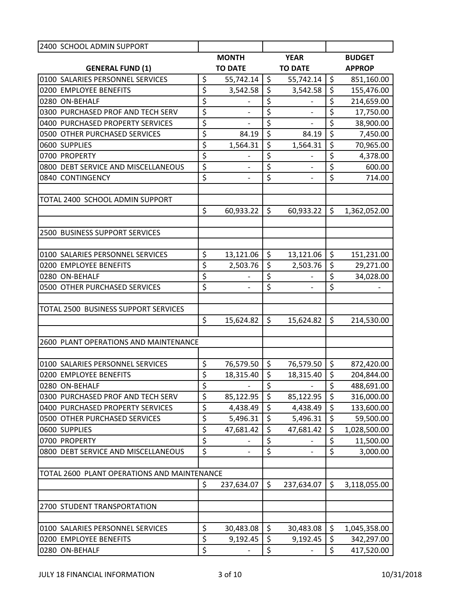| 2400 SCHOOL ADMIN SUPPORT                   |                                 |                          |                         |                          |                  |               |
|---------------------------------------------|---------------------------------|--------------------------|-------------------------|--------------------------|------------------|---------------|
|                                             |                                 | <b>MONTH</b>             |                         | <b>YEAR</b>              |                  | <b>BUDGET</b> |
| <b>GENERAL FUND (1)</b>                     |                                 | <b>TO DATE</b>           |                         | <b>TO DATE</b>           |                  | <b>APPROP</b> |
| 0100 SALARIES PERSONNEL SERVICES            | \$                              | 55,742.14                | \$                      | 55,742.14                | \$               | 851,160.00    |
| 0200 EMPLOYEE BENEFITS                      | \$                              | 3,542.58                 | \$                      | 3,542.58                 | $\overline{\xi}$ | 155,476.00    |
| 0280 ON-BEHALF                              | \$                              |                          | \$                      |                          | \$               | 214,659.00    |
| 0300 PURCHASED PROF AND TECH SERV           | \$                              |                          | \$                      |                          | \$               | 17,750.00     |
| 0400 PURCHASED PROPERTY SERVICES            | \$                              |                          | \$                      |                          | \$               | 38,900.00     |
| 0500 OTHER PURCHASED SERVICES               | \$                              | 84.19                    | \$                      | 84.19                    | \$               | 7,450.00      |
| 0600 SUPPLIES                               | \$                              | 1,564.31                 | \$                      | 1,564.31                 | \$               | 70,965.00     |
| 0700 PROPERTY                               | \$                              |                          | \$                      |                          | \$               | 4,378.00      |
| 0800 DEBT SERVICE AND MISCELLANEOUS         | \$                              |                          | $\overline{\xi}$        |                          | $\overline{\xi}$ | 600.00        |
| 0840 CONTINGENCY                            | \$                              | $\overline{\phantom{a}}$ | \$                      | $\overline{\phantom{a}}$ | \$               | 714.00        |
|                                             |                                 |                          |                         |                          |                  |               |
| TOTAL 2400 SCHOOL ADMIN SUPPORT             |                                 |                          |                         |                          |                  |               |
|                                             | \$                              | 60,933.22                | \$                      | 60,933.22                | \$               | 1,362,052.00  |
|                                             |                                 |                          |                         |                          |                  |               |
| 2500 BUSINESS SUPPORT SERVICES              |                                 |                          |                         |                          |                  |               |
|                                             |                                 |                          |                         |                          |                  |               |
| 0100 SALARIES PERSONNEL SERVICES            | \$                              | 13,121.06                | \$                      | 13,121.06                | \$               | 151,231.00    |
| 0200 EMPLOYEE BENEFITS                      | \$                              | 2,503.76                 | \$                      | 2,503.76                 | \$               | 29,271.00     |
| 0280 ON-BEHALF                              | \$                              |                          | \$                      |                          | \$               | 34,028.00     |
| 0500 OTHER PURCHASED SERVICES               | \$                              |                          | \$                      | $\overline{\phantom{a}}$ | \$               |               |
|                                             |                                 |                          |                         |                          |                  |               |
| TOTAL 2500 BUSINESS SUPPORT SERVICES        |                                 |                          |                         |                          |                  |               |
|                                             | \$                              | 15,624.82                | \$                      | 15,624.82                | \$               | 214,530.00    |
|                                             |                                 |                          |                         |                          |                  |               |
| 2600 PLANT OPERATIONS AND MAINTENANCE       |                                 |                          |                         |                          |                  |               |
|                                             |                                 |                          |                         |                          |                  |               |
| 0100 SALARIES PERSONNEL SERVICES            | \$                              | 76,579.50                | \$                      | 76,579.50                | \$               | 872,420.00    |
| 0200 EMPLOYEE BENEFITS                      | \$                              | 18,315.40                | $\overline{\mathsf{S}}$ | 18,315.40                | $\overline{\xi}$ | 204,844.00    |
| 0280 ON-BEHALF                              | \$                              | $\qquad \qquad -$        | \$                      | $\overline{\phantom{a}}$ | \$               | 488,691.00    |
| 0300 PURCHASED PROF AND TECH SERV           | \$                              | 85,122.95                | \$                      | 85,122.95                | \$               | 316,000.00    |
| 0400 PURCHASED PROPERTY SERVICES            | \$                              | 4,438.49                 | \$                      | 4,438.49                 | $\overline{\xi}$ | 133,600.00    |
| 0500 OTHER PURCHASED SERVICES               | \$                              | 5,496.31                 | \$                      | 5,496.31                 | \$               | 59,500.00     |
| 0600 SUPPLIES                               | $\overline{\boldsymbol{\zeta}}$ | 47,681.42                | \$                      | 47,681.42                | \$               | 1,028,500.00  |
| 0700 PROPERTY                               | \$                              |                          | \$                      |                          | \$               | 11,500.00     |
| 0800 DEBT SERVICE AND MISCELLANEOUS         | \$                              |                          | \$                      |                          | \$               | 3,000.00      |
|                                             |                                 |                          |                         |                          |                  |               |
| TOTAL 2600 PLANT OPERATIONS AND MAINTENANCE |                                 |                          |                         |                          |                  |               |
|                                             | \$                              | 237,634.07               | \$                      | 237,634.07               | \$               | 3,118,055.00  |
|                                             |                                 |                          |                         |                          |                  |               |
| 2700 STUDENT TRANSPORTATION                 |                                 |                          |                         |                          |                  |               |
| 0100 SALARIES PERSONNEL SERVICES            | \$                              |                          | \$                      |                          | \$               |               |
|                                             | \$                              | 30,483.08                |                         | 30,483.08                |                  | 1,045,358.00  |
| 0200 EMPLOYEE BENEFITS                      |                                 | 9,192.45                 | \$                      | 9,192.45                 | \$               | 342,297.00    |
| 0280 ON-BEHALF                              | \$                              |                          | \$                      |                          | \$               | 417,520.00    |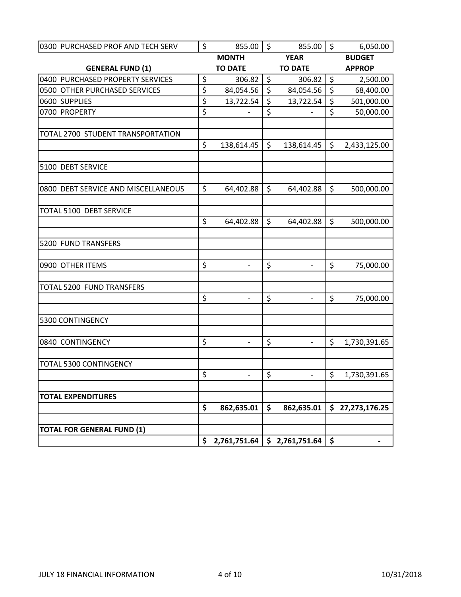| 0300 PURCHASED PROF AND TECH SERV   | \$<br>855.00                       | $\zeta$ | 855.00         | \$      | 6,050.00        |
|-------------------------------------|------------------------------------|---------|----------------|---------|-----------------|
|                                     | <b>MONTH</b>                       |         | <b>YEAR</b>    |         | <b>BUDGET</b>   |
| <b>GENERAL FUND (1)</b>             | <b>TO DATE</b>                     |         | <b>TO DATE</b> |         | <b>APPROP</b>   |
| 0400 PURCHASED PROPERTY SERVICES    | \$<br>306.82                       | $\zeta$ | 306.82         | $\zeta$ | 2,500.00        |
| 0500 OTHER PURCHASED SERVICES       | \$<br>84,054.56                    | $\zeta$ | 84,054.56      | $\zeta$ | 68,400.00       |
| 0600 SUPPLIES                       | \$<br>13,722.54                    | \$      | 13,722.54      | \$      | 501,000.00      |
| 0700 PROPERTY                       | \$                                 | \$      |                | \$      | 50,000.00       |
| TOTAL 2700 STUDENT TRANSPORTATION   |                                    |         |                |         |                 |
|                                     | \$<br>138,614.45                   | \$      | 138,614.45     | \$      | 2,433,125.00    |
| 5100 DEBT SERVICE                   |                                    |         |                |         |                 |
| 0800 DEBT SERVICE AND MISCELLANEOUS | \$<br>64,402.88                    | \$      | 64,402.88      | \$      | 500,000.00      |
| TOTAL 5100 DEBT SERVICE             | \$<br>64,402.88                    | \$      | 64,402.88      | \$      | 500,000.00      |
| 5200 FUND TRANSFERS                 |                                    |         |                |         |                 |
| 0900 OTHER ITEMS                    | \$<br>$\overline{\phantom{0}}$     | \$      | $\overline{a}$ | \$      | 75,000.00       |
| TOTAL 5200 FUND TRANSFERS           | \$<br>$\overline{a}$               | \$      |                | \$      | 75,000.00       |
| 5300 CONTINGENCY                    |                                    |         |                |         |                 |
| 0840 CONTINGENCY                    | \$<br>$\qquad \qquad \blacksquare$ | \$      | $\frac{1}{2}$  | \$      | 1,730,391.65    |
| <b>TOTAL 5300 CONTINGENCY</b>       |                                    |         |                |         |                 |
|                                     | \$<br>$\overline{\phantom{a}}$     | \$      | $\overline{a}$ | $\zeta$ | 1,730,391.65    |
| <b>TOTAL EXPENDITURES</b>           | \$                                 | \$      |                |         |                 |
|                                     | 862,635.01                         |         | 862,635.01     |         | \$27,273,176.25 |
| <b>TOTAL FOR GENERAL FUND (1)</b>   |                                    |         |                |         |                 |
|                                     | \$<br>2,761,751.64                 |         | \$2,761,751.64 | \$      |                 |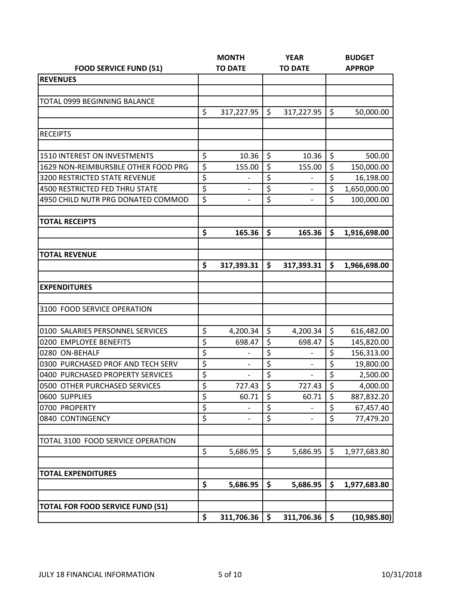|                                                                       |                    | <b>MONTH</b>             |          | <b>YEAR</b>              |                        | <b>BUDGET</b>           |
|-----------------------------------------------------------------------|--------------------|--------------------------|----------|--------------------------|------------------------|-------------------------|
| <b>FOOD SERVICE FUND (51)</b>                                         |                    | <b>TO DATE</b>           |          | <b>TO DATE</b>           |                        | <b>APPROP</b>           |
| <b>REVENUES</b>                                                       |                    |                          |          |                          |                        |                         |
|                                                                       |                    |                          |          |                          |                        |                         |
| <b>TOTAL 0999 BEGINNING BALANCE</b>                                   |                    |                          |          |                          |                        |                         |
|                                                                       | \$                 | 317,227.95               | \$       | 317,227.95               | $\zeta$                | 50,000.00               |
| <b>RECEIPTS</b>                                                       |                    |                          |          |                          |                        |                         |
|                                                                       |                    |                          |          |                          |                        |                         |
| <b>1510 INTEREST ON INVESTMENTS</b>                                   | \$                 | 10.36                    | \$       | 10.36                    | \$                     | 500.00                  |
| 1629 NON-REIMBURSBLE OTHER FOOD PRG                                   | $\overline{\xi}$   | 155.00                   | \$       | 155.00                   | $\overline{\xi}$       | 150,000.00              |
| <b>3200 RESTRICTED STATE REVENUE</b>                                  | \$                 |                          | \$       |                          | \$                     | 16,198.00               |
| 4500 RESTRICTED FED THRU STATE                                        | \$                 |                          | \$       |                          | \$                     | 1,650,000.00            |
| 4950 CHILD NUTR PRG DONATED COMMOD                                    | $\overline{\xi}$   | $\qquad \qquad -$        | \$       | $\overline{a}$           | \$                     | 100,000.00              |
| <b>TOTAL RECEIPTS</b>                                                 |                    |                          |          |                          |                        |                         |
|                                                                       | \$                 | 165.36                   | \$       | 165.36                   | \$                     | 1,916,698.00            |
|                                                                       |                    |                          |          |                          |                        |                         |
| <b>TOTAL REVENUE</b>                                                  |                    |                          |          |                          |                        |                         |
|                                                                       | $\mathsf{\hat{S}}$ | 317,393.31               | \$       | 317,393.31               | \$                     | 1,966,698.00            |
|                                                                       |                    |                          |          |                          |                        |                         |
| <b>EXPENDITURES</b>                                                   |                    |                          |          |                          |                        |                         |
|                                                                       |                    |                          |          |                          |                        |                         |
| 3100 FOOD SERVICE OPERATION                                           |                    |                          |          |                          |                        |                         |
|                                                                       |                    |                          |          |                          |                        |                         |
| 0100 SALARIES PERSONNEL SERVICES                                      | \$                 | 4,200.34                 | \$       | 4,200.34                 | \$                     | 616,482.00              |
| 0200 EMPLOYEE BENEFITS                                                | \$                 | 698.47                   | \$       | 698.47                   | \$                     | 145,820.00              |
| 0280 ON-BEHALF                                                        | \$                 |                          | \$       | $\overline{a}$           | \$                     | 156,313.00              |
| 0300 PURCHASED PROF AND TECH SERV<br>0400 PURCHASED PROPERTY SERVICES | \$                 | $\overline{\phantom{0}}$ | \$       | $\overline{\phantom{a}}$ | \$<br>$\overline{\xi}$ | 19,800.00               |
|                                                                       | \$<br>\$           |                          | \$<br>\$ |                          | \$                     | 2,500.00                |
| 0500 OTHER PURCHASED SERVICES                                         |                    | 727.43                   |          | 727.43                   |                        | 4,000.00                |
| 0600 SUPPLIES<br>0700 PROPERTY                                        | \$<br>\$           | 60.71                    | \$<br>\$ | 60.71                    | \$<br>\$               | 887,832.20<br>67,457.40 |
| 0840 CONTINGENCY                                                      | \$                 |                          | \$       |                          | \$                     | 77,479.20               |
|                                                                       |                    |                          |          |                          |                        |                         |
| TOTAL 3100 FOOD SERVICE OPERATION                                     |                    |                          |          |                          |                        |                         |
|                                                                       | \$                 | 5,686.95                 | \$       | 5,686.95                 | $\zeta$                | 1,977,683.80            |
| <b>TOTAL EXPENDITURES</b>                                             |                    |                          |          |                          |                        |                         |
|                                                                       | \$                 | 5,686.95                 | \$       | 5,686.95                 | \$                     | 1,977,683.80            |
|                                                                       |                    |                          |          |                          |                        |                         |
| <b>TOTAL FOR FOOD SERVICE FUND (51)</b>                               |                    |                          |          |                          |                        |                         |
|                                                                       | \$                 | 311,706.36               | \$       | 311,706.36               | \$                     | (10, 985.80)            |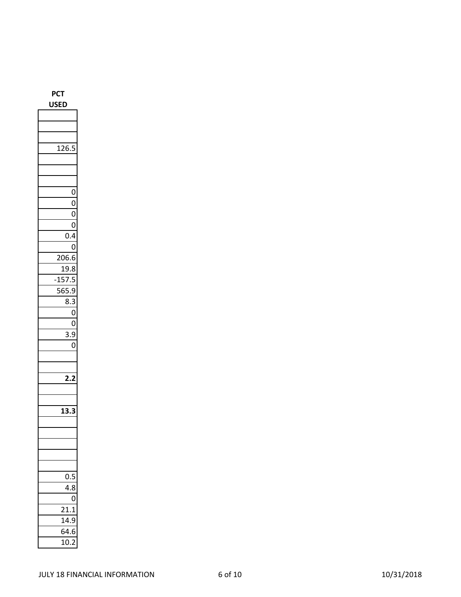| ЬC.                                      |
|------------------------------------------|
| SЕ<br>ι                                  |
|                                          |
|                                          |
|                                          |
| 12 <sup>7</sup>                          |
|                                          |
|                                          |
|                                          |
| 0                                        |
| 0                                        |
| $\overline{0}$                           |
| 0                                        |
| 0.4                                      |
| 0                                        |
| 206.6                                    |
| <u>19</u><br>.8                          |
| 5<br>5<br>-1                             |
| ö<br>ľ<br>$\mathbf{S}^{\mathsf{I}}$<br>) |
| 3<br>ξ<br>ξ                              |
| O                                        |
| 0                                        |
| 3<br>9<br>:                              |
| O                                        |
|                                          |
|                                          |
| ,                                        |
|                                          |
|                                          |
| $\mathbf{1}$                             |
|                                          |
|                                          |
|                                          |
|                                          |
|                                          |
| 0.5<br>)                                 |
| 4.8                                      |
| 0                                        |
| $^{21}$                                  |
| 14.9                                     |
| 64.6                                     |
| 10.2                                     |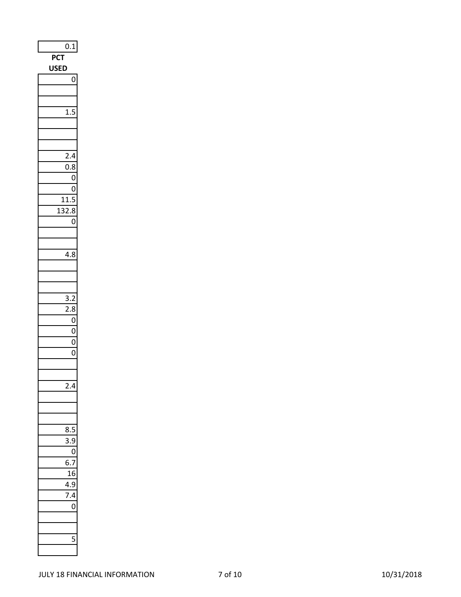| <b>PCT</b><br><b>USE</b><br>D<br>0<br>1.5<br>2.4<br>$\overline{0.8}$<br>$\overline{0}$<br>O<br>11.5<br>132.8<br>$\overline{0}$<br>4.8<br>$\frac{3.2}{2}$<br>$\overline{2.8}$<br>0<br>O<br>0<br>$\overline{0}$<br>$\overline{\mathbf{A}}$<br>8.<br>؛.<br>)<br>ſ<br>ł<br>Е<br>4<br>J<br>7.4<br>$\mathcal{L}_{\mathcal{L}}$<br>) | 0.1 |
|-------------------------------------------------------------------------------------------------------------------------------------------------------------------------------------------------------------------------------------------------------------------------------------------------------------------------------|-----|
|                                                                                                                                                                                                                                                                                                                               |     |
|                                                                                                                                                                                                                                                                                                                               |     |
|                                                                                                                                                                                                                                                                                                                               |     |
|                                                                                                                                                                                                                                                                                                                               |     |
|                                                                                                                                                                                                                                                                                                                               |     |
|                                                                                                                                                                                                                                                                                                                               |     |
|                                                                                                                                                                                                                                                                                                                               |     |
|                                                                                                                                                                                                                                                                                                                               |     |
|                                                                                                                                                                                                                                                                                                                               |     |
|                                                                                                                                                                                                                                                                                                                               |     |
|                                                                                                                                                                                                                                                                                                                               |     |
|                                                                                                                                                                                                                                                                                                                               |     |
|                                                                                                                                                                                                                                                                                                                               |     |
|                                                                                                                                                                                                                                                                                                                               |     |
|                                                                                                                                                                                                                                                                                                                               |     |
|                                                                                                                                                                                                                                                                                                                               |     |
|                                                                                                                                                                                                                                                                                                                               |     |
|                                                                                                                                                                                                                                                                                                                               |     |
|                                                                                                                                                                                                                                                                                                                               |     |
|                                                                                                                                                                                                                                                                                                                               |     |
|                                                                                                                                                                                                                                                                                                                               |     |
|                                                                                                                                                                                                                                                                                                                               |     |
|                                                                                                                                                                                                                                                                                                                               |     |
|                                                                                                                                                                                                                                                                                                                               |     |
|                                                                                                                                                                                                                                                                                                                               |     |
|                                                                                                                                                                                                                                                                                                                               |     |
|                                                                                                                                                                                                                                                                                                                               |     |
|                                                                                                                                                                                                                                                                                                                               |     |
|                                                                                                                                                                                                                                                                                                                               |     |
|                                                                                                                                                                                                                                                                                                                               |     |
|                                                                                                                                                                                                                                                                                                                               |     |
|                                                                                                                                                                                                                                                                                                                               |     |
|                                                                                                                                                                                                                                                                                                                               |     |
|                                                                                                                                                                                                                                                                                                                               |     |
|                                                                                                                                                                                                                                                                                                                               |     |
|                                                                                                                                                                                                                                                                                                                               |     |
|                                                                                                                                                                                                                                                                                                                               |     |
|                                                                                                                                                                                                                                                                                                                               |     |
|                                                                                                                                                                                                                                                                                                                               |     |
|                                                                                                                                                                                                                                                                                                                               |     |
| I                                                                                                                                                                                                                                                                                                                             |     |
|                                                                                                                                                                                                                                                                                                                               |     |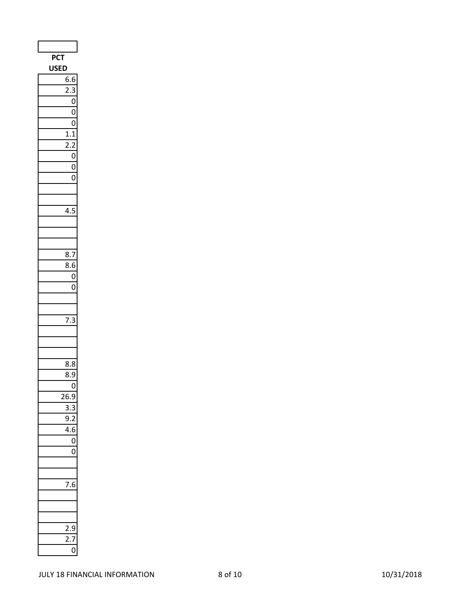| PCT                                 |
|-------------------------------------|
| <b>JSF</b>                          |
| 6.6                                 |
| $\overline{2.3}$                    |
| $\overline{0}$                      |
| $\overline{0}$                      |
| $\overline{0}$                      |
| $1.\overline{1}$                    |
|                                     |
| $\mathbf{0}$                        |
| $\overline{0}$                      |
| $\overline{0}$                      |
|                                     |
|                                     |
| l.!                                 |
|                                     |
|                                     |
|                                     |
| 8.7                                 |
| $\overline{8}.6$                    |
| $\mathbf{0}$                        |
| 0                                   |
|                                     |
|                                     |
| 7.3<br>3                            |
|                                     |
|                                     |
| 8.8                                 |
| 8.9                                 |
| (<br>)                              |
| 26<br>J                             |
| $\overline{\mathbf{5}}$ .<br>ξ<br>S |
| $\overline{a}$                      |
| 1.6<br>J                            |
| 0                                   |
| (<br>)                              |
|                                     |
|                                     |
|                                     |
|                                     |
|                                     |
|                                     |
| J                                   |
|                                     |
| ĺ                                   |
|                                     |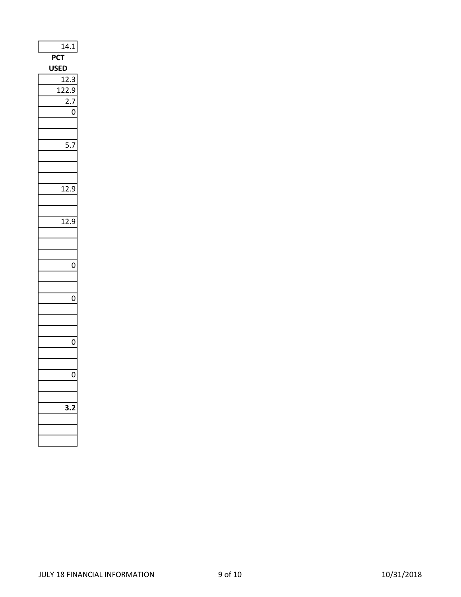| 14.1              |
|-------------------|
| PC1               |
| USE<br>נ          |
| $\mathbf{1}$<br>Š |
| 122.9             |
| 2                 |
| 0                 |
|                   |
|                   |
| 5.<br>C           |
|                   |
|                   |
|                   |
| 12.9              |
|                   |
|                   |
| $\frac{1}{12.9}$  |
|                   |
|                   |
|                   |
| 0                 |
|                   |
|                   |
| 0                 |
|                   |
|                   |
|                   |
| 0                 |
|                   |
|                   |
| 0                 |
|                   |
|                   |
|                   |
|                   |
|                   |
|                   |
|                   |